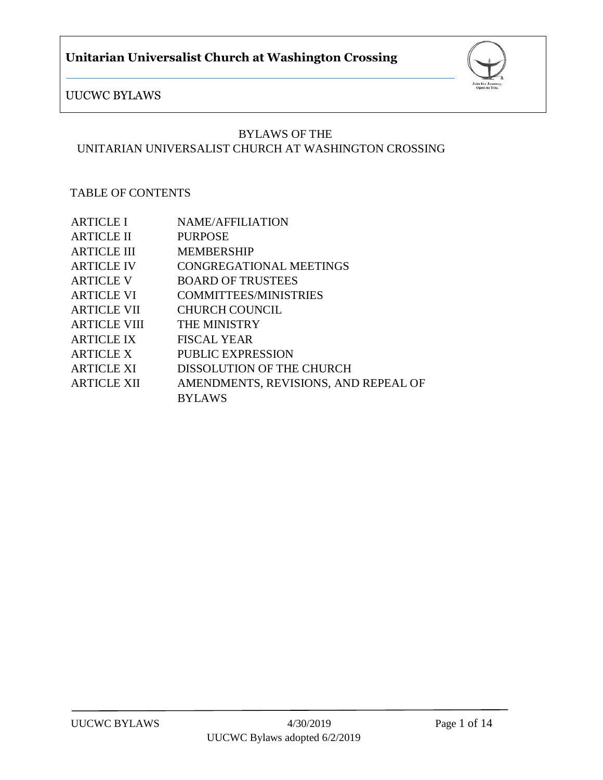

## BYLAWS OF THE UNITARIAN UNIVERSALIST CHURCH AT WASHINGTON CROSSING

### TABLE OF CONTENTS

| <b>ARTICLE I</b>    | <b>NAME/AFFILIATION</b>              |
|---------------------|--------------------------------------|
| <b>ARTICLE II</b>   | <b>PURPOSE</b>                       |
| <b>ARTICLE III</b>  | <b>MEMBERSHIP</b>                    |
| <b>ARTICLE IV</b>   | <b>CONGREGATIONAL MEETINGS</b>       |
| <b>ARTICLE V</b>    | <b>BOARD OF TRUSTEES</b>             |
| <b>ARTICLE VI</b>   | <b>COMMITTEES/MINISTRIES</b>         |
| <b>ARTICLE VII</b>  | <b>CHURCH COUNCIL</b>                |
| <b>ARTICLE VIII</b> | <b>THE MINISTRY</b>                  |
| <b>ARTICLE IX</b>   | <b>FISCAL YEAR</b>                   |
| <b>ARTICLE X</b>    | <b>PUBLIC EXPRESSION</b>             |
| <b>ARTICLE XI</b>   | DISSOLUTION OF THE CHURCH            |
| <b>ARTICLE XII</b>  | AMENDMENTS, REVISIONS, AND REPEAL OF |
|                     | <b>BYLAWS</b>                        |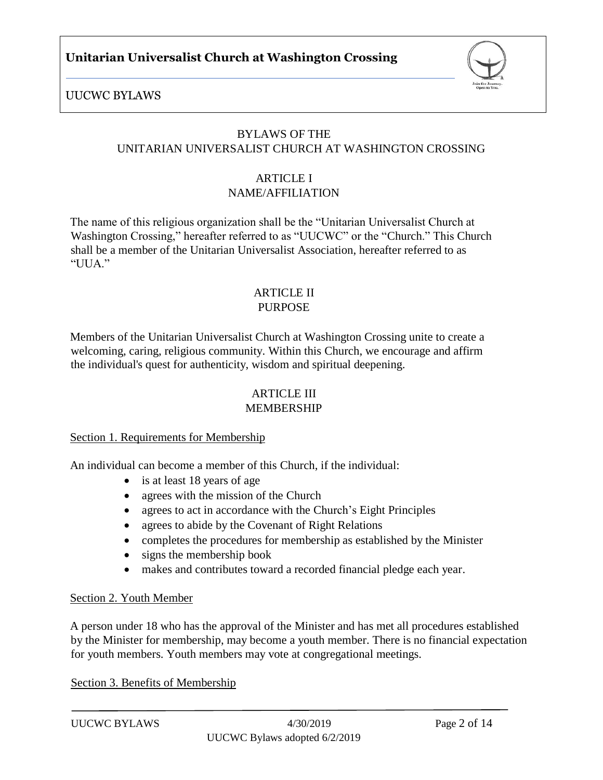

## BYLAWS OF THE UNITARIAN UNIVERSALIST CHURCH AT WASHINGTON CROSSING

#### ARTICLE I NAME/AFFILIATION

The name of this religious organization shall be the "Unitarian Universalist Church at Washington Crossing," hereafter referred to as "UUCWC" or the "Church." This Church shall be a member of the Unitarian Universalist Association, hereafter referred to as "UUA."

#### ARTICLE II PURPOSE

Members of the Unitarian Universalist Church at Washington Crossing unite to create a welcoming, caring, religious community. Within this Church, we encourage and affirm the individual's quest for authenticity, wisdom and spiritual deepening.

# **ARTICLE III**

## MEMBERSHIP

#### Section 1. Requirements for Membership

An individual can become a member of this Church, if the individual:

- is at least 18 years of age
- agrees with the mission of the Church
- agrees to act in accordance with the Church's Eight Principles
- agrees to abide by the Covenant of Right Relations
- completes the procedures for membership as established by the Minister
- signs the membership book
- makes and contributes toward a recorded financial pledge each year.

#### Section 2. Youth Member

A person under 18 who has the approval of the Minister and has met all procedures established by the Minister for membership, may become a youth member. There is no financial expectation for youth members. Youth members may vote at congregational meetings.

Section 3. Benefits of Membership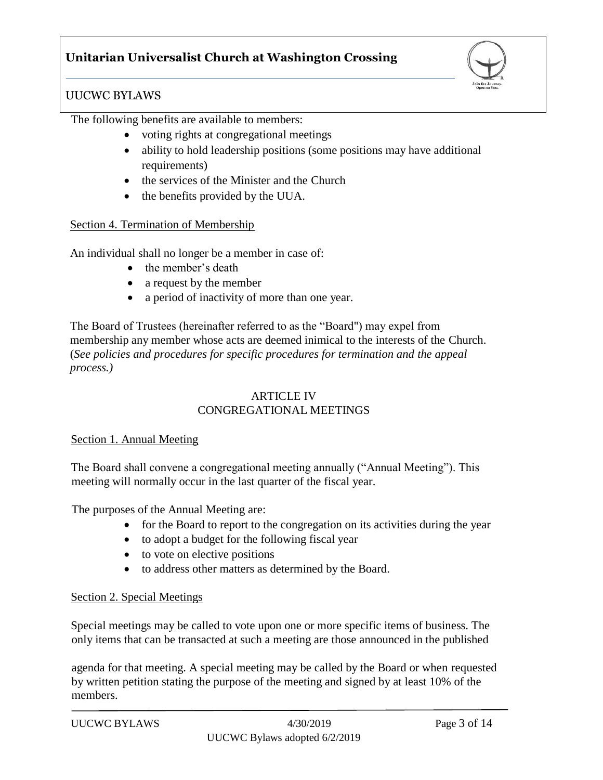## UUCWC BYLAWS

The following benefits are available to members:

- voting rights at congregational meetings
- ability to hold leadership positions (some positions may have additional requirements)
- the services of the Minister and the Church
- the benefits provided by the UUA.

#### Section 4. Termination of Membership

An individual shall no longer be a member in case of:

- the member's death
- a request by the member
- a period of inactivity of more than one year.

The Board of Trustees (hereinafter referred to as the "Board") may expel from membership any member whose acts are deemed inimical to the interests of the Church. (*See policies and procedures for specific procedures for termination and the appeal process.)*

#### ARTICLE IV CONGREGATIONAL MEETINGS

#### Section 1. Annual Meeting

The Board shall convene a congregational meeting annually ("Annual Meeting"). This meeting will normally occur in the last quarter of the fiscal year.

The purposes of the Annual Meeting are:

- for the Board to report to the congregation on its activities during the year
- to adopt a budget for the following fiscal year
- to vote on elective positions
- to address other matters as determined by the Board.

#### Section 2. Special Meetings

Special meetings may be called to vote upon one or more specific items of business. The only items that can be transacted at such a meeting are those announced in the published

agenda for that meeting. A special meeting may be called by the Board or when requested by written petition stating the purpose of the meeting and signed by at least 10% of the members.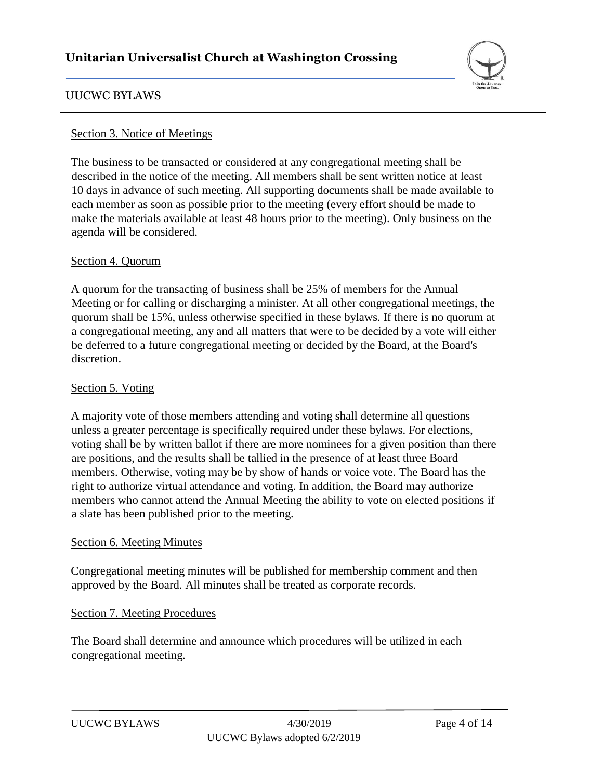

## UUCWC BYLAWS

#### Section 3. Notice of Meetings

The business to be transacted or considered at any congregational meeting shall be described in the notice of the meeting. All members shall be sent written notice at least 10 days in advance of such meeting. All supporting documents shall be made available to each member as soon as possible prior to the meeting (every effort should be made to make the materials available at least 48 hours prior to the meeting). Only business on the agenda will be considered.

#### Section 4. Quorum

A quorum for the transacting of business shall be 25% of members for the Annual Meeting or for calling or discharging a minister. At all other congregational meetings, the quorum shall be 15%, unless otherwise specified in these bylaws. If there is no quorum at a congregational meeting, any and all matters that were to be decided by a vote will either be deferred to a future congregational meeting or decided by the Board, at the Board's discretion.

#### Section 5. Voting

A majority vote of those members attending and voting shall determine all questions unless a greater percentage is specifically required under these bylaws. For elections, voting shall be by written ballot if there are more nominees for a given position than there are positions, and the results shall be tallied in the presence of at least three Board members. Otherwise, voting may be by show of hands or voice vote. The Board has the right to authorize virtual attendance and voting. In addition, the Board may authorize members who cannot attend the Annual Meeting the ability to vote on elected positions if a slate has been published prior to the meeting.

#### Section 6. Meeting Minutes

Congregational meeting minutes will be published for membership comment and then approved by the Board. All minutes shall be treated as corporate records.

#### Section 7. Meeting Procedures

The Board shall determine and announce which procedures will be utilized in each congregational meeting.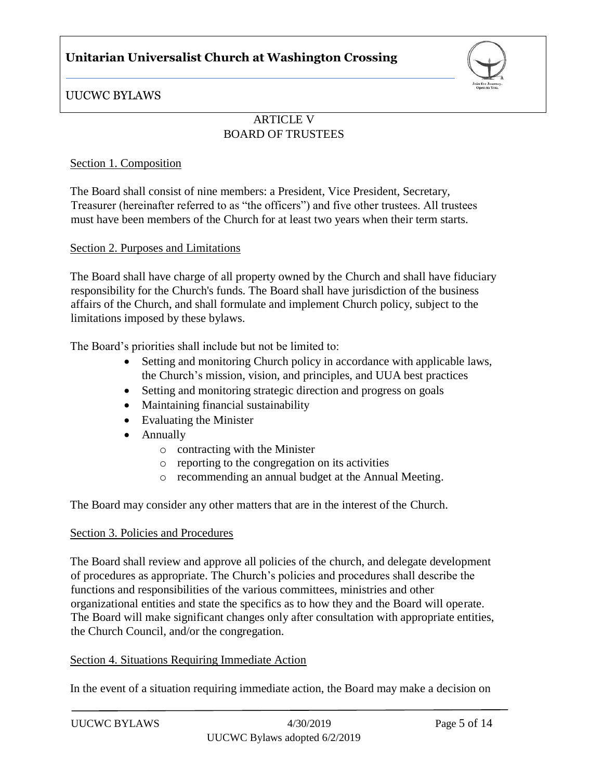

UUCWC BYLAWS

## ARTICLE V BOARD OF TRUSTEES

#### Section 1. Composition

The Board shall consist of nine members: a President, Vice President, Secretary, Treasurer (hereinafter referred to as "the officers") and five other trustees. All trustees must have been members of the Church for at least two years when their term starts.

#### Section 2. Purposes and Limitations

The Board shall have charge of all property owned by the Church and shall have fiduciary responsibility for the Church's funds. The Board shall have jurisdiction of the business affairs of the Church, and shall formulate and implement Church policy, subject to the limitations imposed by these bylaws.

The Board's priorities shall include but not be limited to:

- Setting and monitoring Church policy in accordance with applicable laws, the Church's mission, vision, and principles, and UUA best practices
- Setting and monitoring strategic direction and progress on goals
- Maintaining financial sustainability
- Evaluating the Minister
- Annually
	- o contracting with the Minister
	- o reporting to the congregation on its activities
	- o recommending an annual budget at the Annual Meeting.

The Board may consider any other matters that are in the interest of the Church.

#### Section 3. Policies and Procedures

The Board shall review and approve all policies of the church, and delegate development of procedures as appropriate. The Church's policies and procedures shall describe the functions and responsibilities of the various committees, ministries and other organizational entities and state the specifics as to how they and the Board will operate. The Board will make significant changes only after consultation with appropriate entities, the Church Council, and/or the congregation.

#### Section 4. Situations Requiring Immediate Action

In the event of a situation requiring immediate action, the Board may make a decision on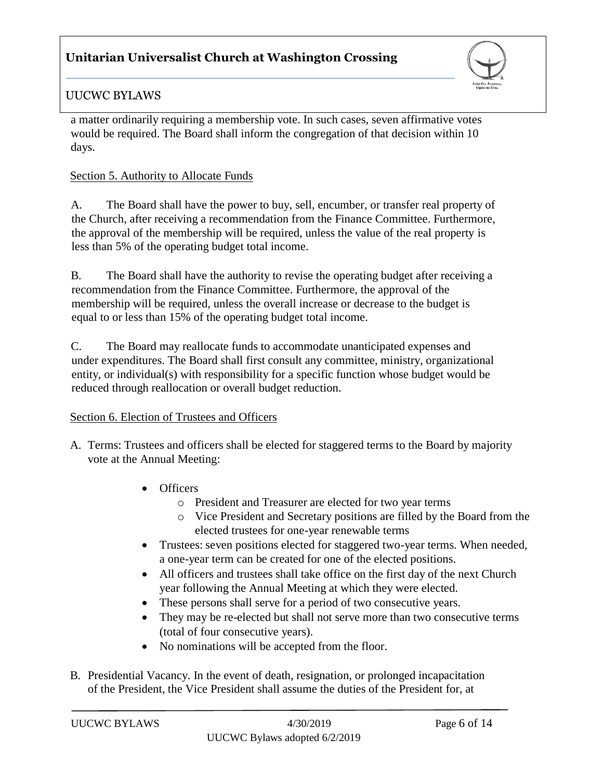

## UUCWC BYLAWS

a matter ordinarily requiring a membership vote. In such cases, seven affirmative votes would be required. The Board shall inform the congregation of that decision within 10 days.

### Section 5. Authority to Allocate Funds

A. The Board shall have the power to buy, sell, encumber, or transfer real property of the Church, after receiving a recommendation from the Finance Committee. Furthermore, the approval of the membership will be required, unless the value of the real property is less than 5% of the operating budget total income.

B. The Board shall have the authority to revise the operating budget after receiving a recommendation from the Finance Committee. Furthermore, the approval of the membership will be required, unless the overall increase or decrease to the budget is equal to or less than 15% of the operating budget total income.

C. The Board may reallocate funds to accommodate unanticipated expenses and under expenditures. The Board shall first consult any committee, ministry, organizational entity, or individual(s) with responsibility for a specific function whose budget would be reduced through reallocation or overall budget reduction.

## Section 6. Election of Trustees and Officers

- A. Terms: Trustees and officers shall be elected for staggered terms to the Board by majority vote at the Annual Meeting:
	- Officers
		- o President and Treasurer are elected for two year terms
		- o Vice President and Secretary positions are filled by the Board from the elected trustees for one-year renewable terms
	- Trustees: seven positions elected for staggered two-year terms. When needed, a one-year term can be created for one of the elected positions.
	- All officers and trustees shall take office on the first day of the next Church year following the Annual Meeting at which they were elected.
	- These persons shall serve for a period of two consecutive years.
	- They may be re-elected but shall not serve more than two consecutive terms (total of four consecutive years).
	- No nominations will be accepted from the floor.
- B. Presidential Vacancy. In the event of death, resignation, or prolonged incapacitation of the President, the Vice President shall assume the duties of the President for, at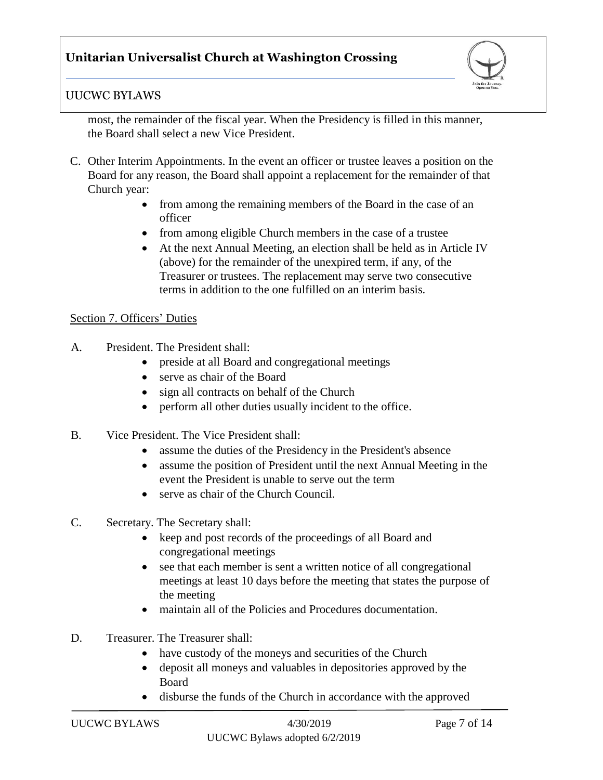

## UUCWC BYLAWS

most, the remainder of the fiscal year. When the Presidency is filled in this manner, the Board shall select a new Vice President.

- C. Other Interim Appointments. In the event an officer or trustee leaves a position on the Board for any reason, the Board shall appoint a replacement for the remainder of that Church year:
	- from among the remaining members of the Board in the case of an officer
	- from among eligible Church members in the case of a trustee
	- At the next Annual Meeting, an election shall be held as in Article IV (above) for the remainder of the unexpired term, if any, of the Treasurer or trustees. The replacement may serve two consecutive terms in addition to the one fulfilled on an interim basis.

#### Section 7. Officers' Duties

- A. President. The President shall:
	- preside at all Board and congregational meetings
	- serve as chair of the Board
	- sign all contracts on behalf of the Church
	- perform all other duties usually incident to the office.
- B. Vice President. The Vice President shall:
	- assume the duties of the Presidency in the President's absence
	- assume the position of President until the next Annual Meeting in the event the President is unable to serve out the term
	- serve as chair of the Church Council.
- C. Secretary. The Secretary shall:
	- keep and post records of the proceedings of all Board and congregational meetings
	- see that each member is sent a written notice of all congregational meetings at least 10 days before the meeting that states the purpose of the meeting
	- maintain all of the Policies and Procedures documentation.
- D. Treasurer. The Treasurer shall:
	- have custody of the moneys and securities of the Church
	- deposit all moneys and valuables in depositories approved by the Board
	- disburse the funds of the Church in accordance with the approved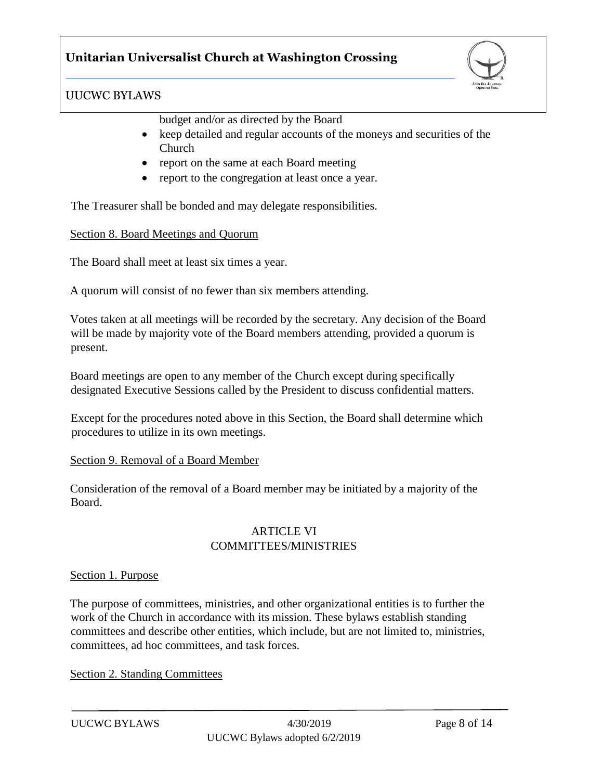

budget and/or as directed by the Board

- keep detailed and regular accounts of the moneys and securities of the Church
- report on the same at each Board meeting
- report to the congregation at least once a year.

The Treasurer shall be bonded and may delegate responsibilities.

#### Section 8. Board Meetings and Quorum

The Board shall meet at least six times a year.

A quorum will consist of no fewer than six members attending.

Votes taken at all meetings will be recorded by the secretary. Any decision of the Board will be made by majority vote of the Board members attending, provided a quorum is present.

Board meetings are open to any member of the Church except during specifically designated Executive Sessions called by the President to discuss confidential matters.

Except for the procedures noted above in this Section, the Board shall determine which procedures to utilize in its own meetings.

#### Section 9. Removal of a Board Member

Consideration of the removal of a Board member may be initiated by a majority of the Board.

#### ARTICLE VI COMMITTEES/MINISTRIES

#### Section 1. Purpose

The purpose of committees, ministries, and other organizational entities is to further the work of the Church in accordance with its mission. These bylaws establish standing committees and describe other entities, which include, but are not limited to, ministries, committees, ad hoc committees, and task forces.

Section 2. Standing Committees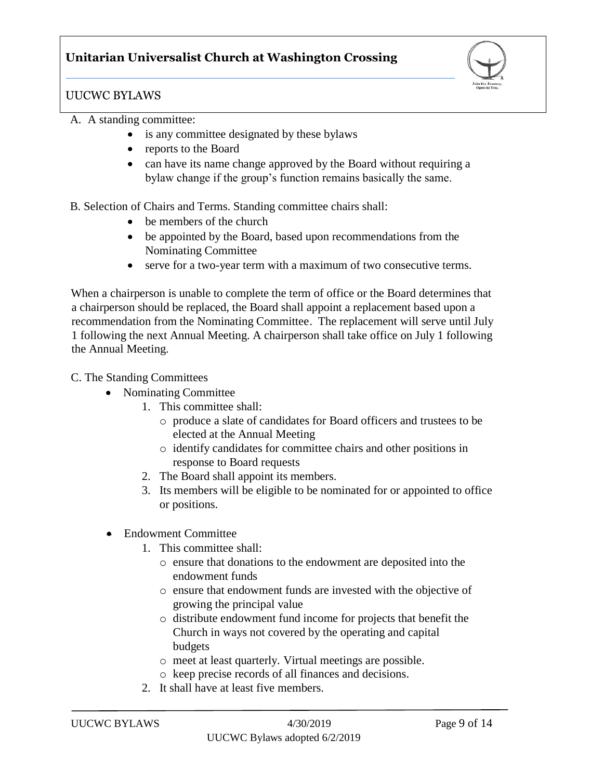

### UUCWC BYLAWS

#### A. A standing committee:

- is any committee designated by these bylaws
- reports to the Board
- can have its name change approved by the Board without requiring a bylaw change if the group's function remains basically the same.

B. Selection of Chairs and Terms. Standing committee chairs shall:

- be members of the church
- be appointed by the Board, based upon recommendations from the Nominating Committee
- serve for a two-year term with a maximum of two consecutive terms.

When a chairperson is unable to complete the term of office or the Board determines that a chairperson should be replaced, the Board shall appoint a replacement based upon a recommendation from the Nominating Committee. The replacement will serve until July 1 following the next Annual Meeting. A chairperson shall take office on July 1 following the Annual Meeting.

#### C. The Standing Committees

- Nominating Committee
	- 1. This committee shall:
		- o produce a slate of candidates for Board officers and trustees to be elected at the Annual Meeting
		- o identify candidates for committee chairs and other positions in response to Board requests
	- 2. The Board shall appoint its members.
	- 3. Its members will be eligible to be nominated for or appointed to office or positions.
- Endowment Committee
	- 1. This committee shall:
		- o ensure that donations to the endowment are deposited into the endowment funds
		- o ensure that endowment funds are invested with the objective of growing the principal value
		- o distribute endowment fund income for projects that benefit the Church in ways not covered by the operating and capital budgets
		- o meet at least quarterly. Virtual meetings are possible.
		- o keep precise records of all finances and decisions.
	- 2. It shall have at least five members.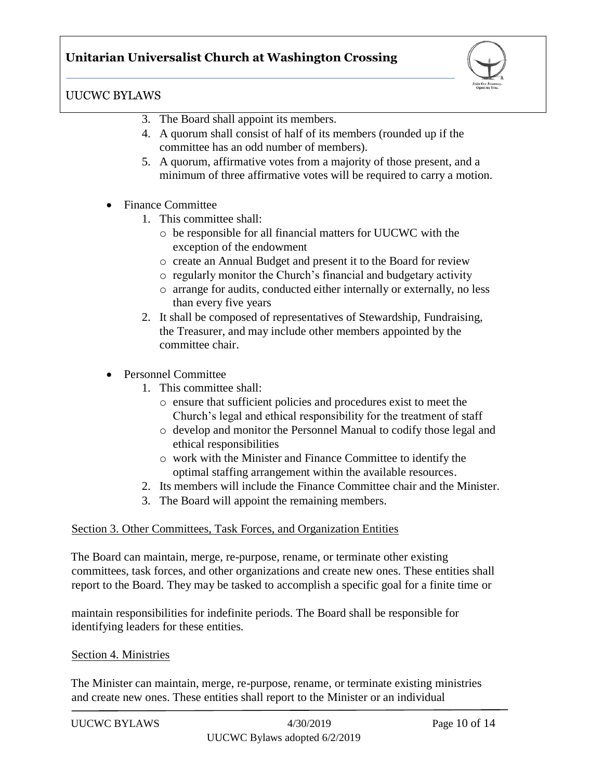

- 3. The Board shall appoint its members.
- 4. A quorum shall consist of half of its members (rounded up if the committee has an odd number of members).
- 5. A quorum, affirmative votes from a majority of those present, and a minimum of three affirmative votes will be required to carry a motion.
- Finance Committee
	- 1. This committee shall:
		- o be responsible for all financial matters for UUCWC with the exception of the endowment
		- o create an Annual Budget and present it to the Board for review
		- o regularly monitor the Church's financial and budgetary activity
		- o arrange for audits, conducted either internally or externally, no less than every five years
	- 2. It shall be composed of representatives of Stewardship, Fundraising, the Treasurer, and may include other members appointed by the committee chair.
- Personnel Committee
	- 1. This committee shall:
		- o ensure that sufficient policies and procedures exist to meet the Church's legal and ethical responsibility for the treatment of staff
		- o develop and monitor the Personnel Manual to codify those legal and ethical responsibilities
		- o work with the Minister and Finance Committee to identify the optimal staffing arrangement within the available resources.
	- 2. Its members will include the Finance Committee chair and the Minister.
	- 3. The Board will appoint the remaining members.

#### Section 3. Other Committees, Task Forces, and Organization Entities

The Board can maintain, merge, re-purpose, rename, or terminate other existing committees, task forces, and other organizations and create new ones. These entities shall report to the Board. They may be tasked to accomplish a specific goal for a finite time or

maintain responsibilities for indefinite periods. The Board shall be responsible for identifying leaders for these entities.

#### Section 4. Ministries

The Minister can maintain, merge, re-purpose, rename, or terminate existing ministries and create new ones. These entities shall report to the Minister or an individual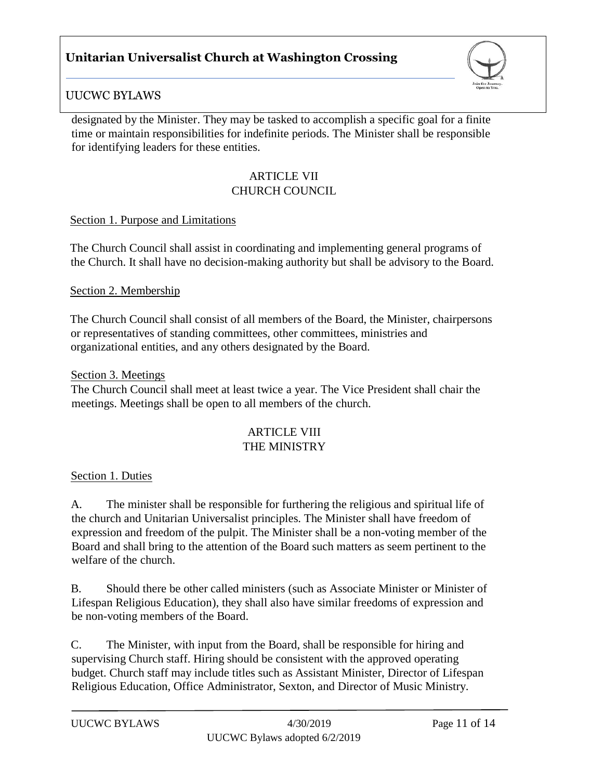

## UUCWC BYLAWS

designated by the Minister. They may be tasked to accomplish a specific goal for a finite time or maintain responsibilities for indefinite periods. The Minister shall be responsible for identifying leaders for these entities.

#### ARTICLE VII CHURCH COUNCIL

#### Section 1. Purpose and Limitations

The Church Council shall assist in coordinating and implementing general programs of the Church. It shall have no decision-making authority but shall be advisory to the Board.

#### Section 2. Membership

The Church Council shall consist of all members of the Board, the Minister, chairpersons or representatives of standing committees, other committees, ministries and organizational entities, and any others designated by the Board.

#### Section 3. Meetings

The Church Council shall meet at least twice a year. The Vice President shall chair the meetings. Meetings shall be open to all members of the church.

#### ARTICLE VIII THE MINISTRY

#### Section 1. Duties

A. The minister shall be responsible for furthering the religious and spiritual life of the church and Unitarian Universalist principles. The Minister shall have freedom of expression and freedom of the pulpit. The Minister shall be a non-voting member of the Board and shall bring to the attention of the Board such matters as seem pertinent to the welfare of the church.

B. Should there be other called ministers (such as Associate Minister or Minister of Lifespan Religious Education), they shall also have similar freedoms of expression and be non-voting members of the Board.

C. The Minister, with input from the Board, shall be responsible for hiring and supervising Church staff. Hiring should be consistent with the approved operating budget. Church staff may include titles such as Assistant Minister, Director of Lifespan Religious Education, Office Administrator, Sexton, and Director of Music Ministry.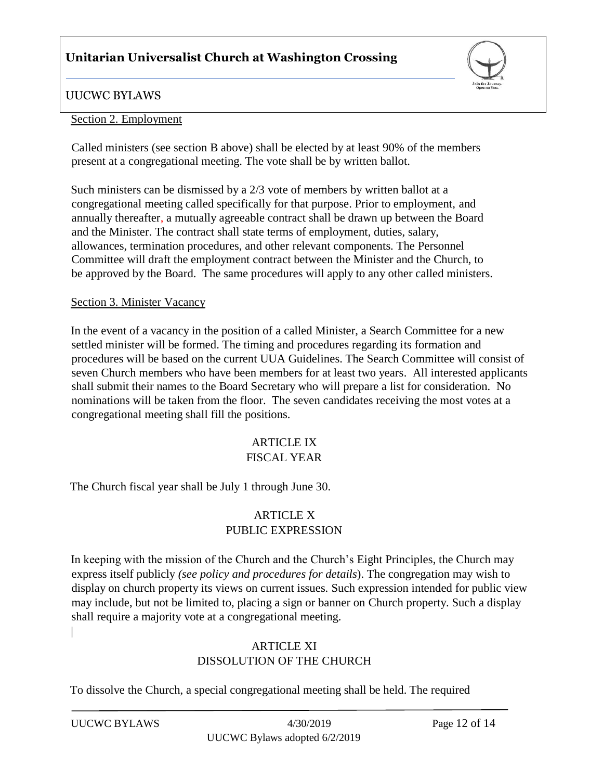

### UUCWC BYLAWS

#### Section 2. Employment

Called ministers (see section B above) shall be elected by at least 90% of the members present at a congregational meeting. The vote shall be by written ballot.

Such ministers can be dismissed by a 2/3 vote of members by written ballot at a congregational meeting called specifically for that purpose. Prior to employment, and annually thereafter, a mutually agreeable contract shall be drawn up between the Board and the Minister. The contract shall state terms of employment, duties, salary, allowances, termination procedures, and other relevant components. The Personnel Committee will draft the employment contract between the Minister and the Church, to be approved by the Board. The same procedures will apply to any other called ministers.

#### Section 3. Minister Vacancy

In the event of a vacancy in the position of a called Minister, a Search Committee for a new settled minister will be formed. The timing and procedures regarding its formation and procedures will be based on the current UUA Guidelines. The Search Committee will consist of seven Church members who have been members for at least two years. All interested applicants shall submit their names to the Board Secretary who will prepare a list for consideration. No nominations will be taken from the floor. The seven candidates receiving the most votes at a congregational meeting shall fill the positions.

#### ARTICLE IX FISCAL YEAR

The Church fiscal year shall be July 1 through June 30.

## ARTICLE X PUBLIC EXPRESSION

In keeping with the mission of the Church and the Church's Eight Principles, the Church may express itself publicly *(see policy and procedures for details*). The congregation may wish to display on church property its views on current issues. Such expression intended for public view may include, but not be limited to, placing a sign or banner on Church property. Such a display shall require a majority vote at a congregational meeting. |

## ARTICLE XI DISSOLUTION OF THE CHURCH

To dissolve the Church, a special congregational meeting shall be held. The required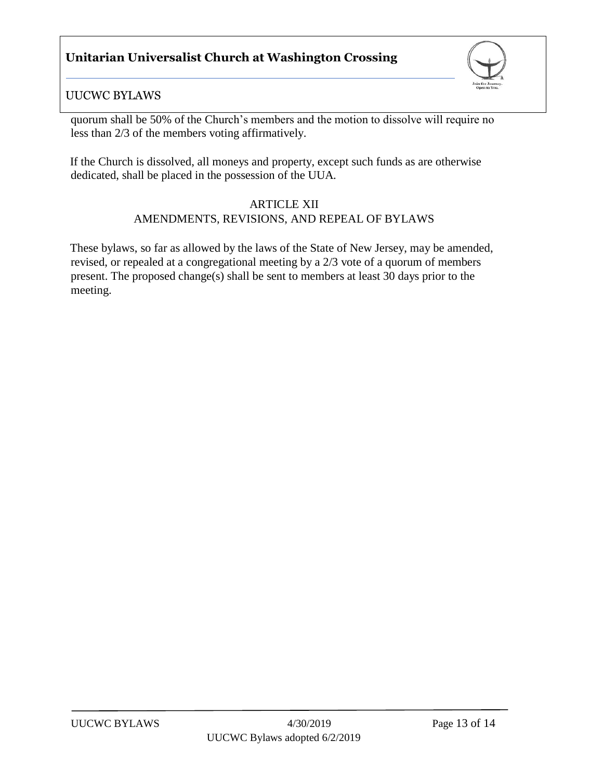

## UUCWC BYLAWS

quorum shall be 50% of the Church's members and the motion to dissolve will require no less than 2/3 of the members voting affirmatively.

If the Church is dissolved, all moneys and property, except such funds as are otherwise dedicated, shall be placed in the possession of the UUA.

### ARTICLE XII

## AMENDMENTS, REVISIONS, AND REPEAL OF BYLAWS

These bylaws, so far as allowed by the laws of the State of New Jersey, may be amended, revised, or repealed at a congregational meeting by a 2/3 vote of a quorum of members present. The proposed change(s) shall be sent to members at least 30 days prior to the meeting.